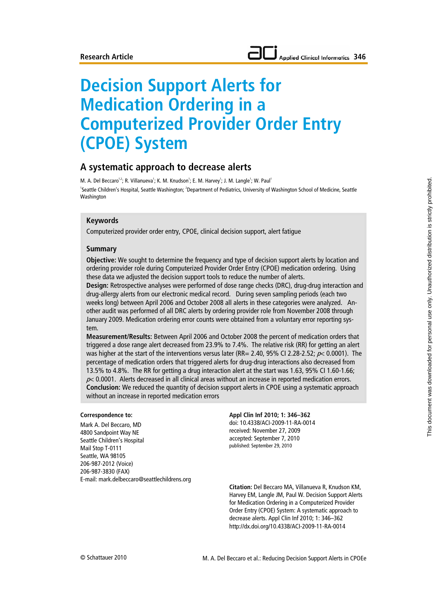# **Decision Support Alerts for Medication Ordering in a Computerized Provider Order Entry (CPOE) System**

# **A systematic approach to decrease alerts**

M. A. Del Beccaro<sup>1,2</sup>; R. Villanueva<sup>1</sup>; K. M. Knudson<sup>1</sup>; E. M. Harvey<sup>1</sup>; J. M. Langle<sup>1</sup>; W. Paul<sup>1</sup> 'Seattle Children's Hospital, Seattle Washington; <sup>2</sup>Department of Pediatrics, University of Washington School of Medicine, Seattle Washington

## **Keywords**

Computerized provider order entry, CPOE, clinical decision support, alert fatigue

#### **Summary**

**Objective:** We sought to determine the frequency and type of decision support alerts by location and ordering provider role during Computerized Provider Order Entry (CPOE) medication ordering. Using these data we adjusted the decision support tools to reduce the number of alerts.

**Design:** Retrospective analyses were performed of dose range checks (DRC), drug-drug interaction and drug-allergy alerts from our electronic medical record. During seven sampling periods (each two weeks long) between April 2006 and October 2008 all alerts in these categories were analyzed. Another audit was performed of all DRC alerts by ordering provider role from November 2008 through January 2009. Medication ordering error counts were obtained from a voluntary error reporting system.

**Measurement/Results:** Between April 2006 and October 2008 the percent of medication orders that triggered a dose range alert decreased from 23.9% to 7.4%. The relative risk (RR) for getting an alert was higher at the start of the interventions versus later (RR= 2.40, 95% CI 2.28-2.52;  $p$ < 0.0001). The percentage of medication orders that triggered alerts for drug-drug interactions also decreased from 13.5% to 4.8%. The RR for getting a drug interaction alert at the start was 1.63, 95% CI 1.60-1.66;  $p$ < 0.0001. Alerts decreased in all clinical areas without an increase in reported medication errors. **Conclusion:** We reduced the quantity of decision support alerts in CPOE using a systematic approach without an increase in reported medication errors

#### **Correspondence to:**

Mark A. Del Beccaro, MD 4800 Sandpoint Way NE Seattle Children's Hospital Mail Stop T-0111 Seattle, WA 98105 206-987-2012 (Voice) 206-987-3830 (FAX) E-mail: mark.delbeccaro@seattlechildrens.org

# **Appl Clin Inf 2010; 1: 346–362**

doi: 10.4338/ACI-2009-11-RA-0014 received: November 27, 2009 accepted: September 7, 2010 published: September 29, 2010

**Citation:** Del Beccaro MA, Villanueva R, Knudson KM, Harvey EM, Langle JM, Paul W. Decision Support Alerts for Medication Ordering in a Computerized Provider Order Entry (CPOE) System: A systematic approach to decrease alerts. Appl Clin Inf 2010; 1: 346–362 http://dx.doi.org/10.4338/ACI-2009-11-RA-0014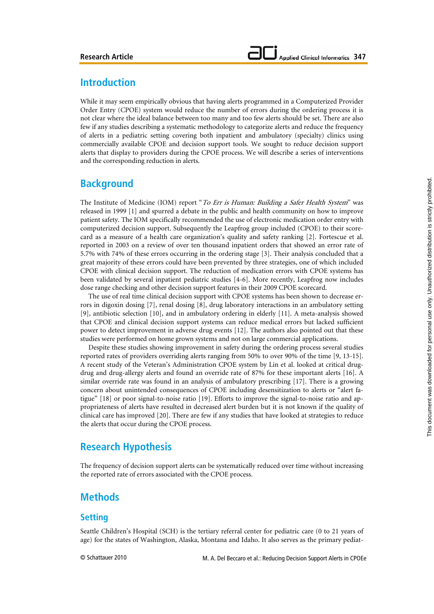# **Introduction**

While it may seem empirically obvious that having alerts programmed in a Computerized Provider Order Entry (CPOE) system would reduce the number of errors during the ordering process it is not clear where the ideal balance between too many and too few alerts should be set. There are also few if any studies describing a systematic methodology to categorize alerts and reduce the frequency of alerts in a pediatric setting covering both inpatient and ambulatory (specialty) clinics using commercially available CPOE and decision support tools. We sought to reduce decision support alerts that display to providers during the CPOE process. We will describe a series of interventions and the corresponding reduction in alerts.

# **Background**

The Institute of Medicine (IOM) report "To Err is Human: Building a Safer Health System" was released in 1999 [1] and spurred a debate in the public and health community on how to improve patient safety. The IOM specifically recommended the use of electronic medication order entry with computerized decision support. Subsequently the Leapfrog group included (CPOE) to their scorecard as a measure of a health care organization's quality and safety ranking [2]. Fortescue et al. reported in 2003 on a review of over ten thousand inpatient orders that showed an error rate of 5.7% with 74% of these errors occurring in the ordering stage [3]. Their analysis concluded that a great majority of these errors could have been prevented by three strategies, one of which included CPOE with clinical decision support. The reduction of medication errors with CPOE systems has been validated by several inpatient pediatric studies [4-6]. More recently, Leapfrog now includes dose range checking and other decision support features in their 2009 CPOE scorecard.

The use of real time clinical decision support with CPOE systems has been shown to decrease errors in digoxin dosing [7], renal dosing [8], drug laboratory interactions in an ambulatory setting [9], antibiotic selection [10], and in ambulatory ordering in elderly [11]. A meta-analysis showed that CPOE and clinical decision support systems can reduce medical errors but lacked sufficient power to detect improvement in adverse drug events [12]. The authors also pointed out that these studies were performed on home grown systems and not on large commercial applications.

Despite these studies showing improvement in safety during the ordering process several studies reported rates of providers overriding alerts ranging from 50% to over 90% of the time [9, 13-15]. A recent study of the Veteran's Administration CPOE system by Lin et al. looked at critical drugdrug and drug-allergy alerts and found an override rate of 87% for these important alerts [16]. A similar override rate was found in an analysis of ambulatory prescribing [17]. There is a growing concern about unintended consequences of CPOE including desensitization to alerts or "alert fatigue" [18] or poor signal-to-noise ratio [19]. Efforts to improve the signal-to-noise ratio and appropriateness of alerts have resulted in decreased alert burden but it is not known if the quality of clinical care has improved [20]. There are few if any studies that have looked at strategies to reduce the alerts that occur during the CPOE process.

# **Research Hypothesis**

The frequency of decision support alerts can be systematically reduced over time without increasing the reported rate of errors associated with the CPOE process.

# **Methods**

## **Setting**

Seattle Children's Hospital (SCH) is the tertiary referral center for pediatric care (0 to 21 years of age) for the states of Washington, Alaska, Montana and Idaho. It also serves as the primary pediat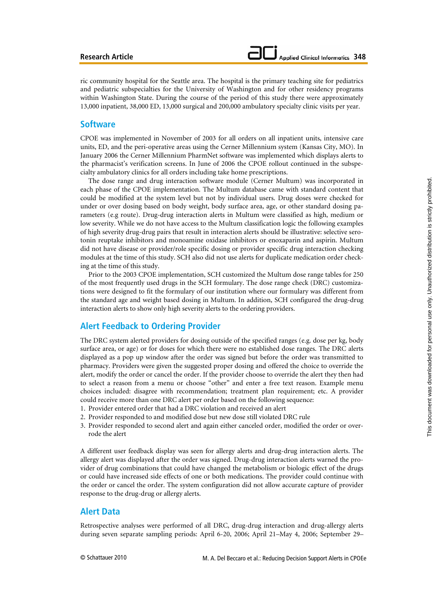ric community hospital for the Seattle area. The hospital is the primary teaching site for pediatrics and pediatric subspecialties for the University of Washington and for other residency programs within Washington State. During the course of the period of this study there were approximately 13,000 inpatient, 38,000 ED, 13,000 surgical and 200,000 ambulatory specialty clinic visits per year.

## **Software**

CPOE was implemented in November of 2003 for all orders on all inpatient units, intensive care units, ED, and the peri-operative areas using the Cerner Millennium system (Kansas City, MO). In January 2006 the Cerner Millennium PharmNet software was implemented which displays alerts to the pharmacist's verification screens. In June of 2006 the CPOE rollout continued in the subspecialty ambulatory clinics for all orders including take home prescriptions.

The dose range and drug interaction software module (Cerner Multum) was incorporated in each phase of the CPOE implementation. The Multum database came with standard content that could be modified at the system level but not by individual users. Drug doses were checked for under or over dosing based on body weight, body surface area, age, or other standard dosing parameters (e.g route). Drug-drug interaction alerts in Multum were classified as high, medium or low severity. While we do not have access to the Multum classification logic the following examples of high severity drug-drug pairs that result in interaction alerts should be illustrative: selective serotonin reuptake inhibitors and monoamine oxidase inhibitors or enoxaparin and aspirin. Multum did not have disease or provider/role specific dosing or provider specific drug interaction checking modules at the time of this study. SCH also did not use alerts for duplicate medication order checking at the time of this study.

Prior to the 2003 CPOE implementation, SCH customized the Multum dose range tables for 250 of the most frequently used drugs in the SCH formulary. The dose range check (DRC) customizations were designed to fit the formulary of our institution where our formulary was different from the standard age and weight based dosing in Multum. In addition, SCH configured the drug-drug interaction alerts to show only high severity alerts to the ordering providers.

## **Alert Feedback to Ordering Provider**

The DRC system alerted providers for dosing outside of the specified ranges (e.g. dose per kg, body surface area, or age) or for doses for which there were no established dose ranges. The DRC alerts displayed as a pop up window after the order was signed but before the order was transmitted to pharmacy. Providers were given the suggested proper dosing and offered the choice to override the alert, modify the order or cancel the order. If the provider choose to override the alert they then had to select a reason from a menu or choose "other" and enter a free text reason. Example menu choices included: disagree with recommendation; treatment plan requirement; etc. A provider could receive more than one DRC alert per order based on the following sequence:

- 1. Provider entered order that had a DRC violation and received an alert
- 2. Provider responded to and modified dose but new dose still violated DRC rule
- 3. Provider responded to second alert and again either canceled order, modified the order or overrode the alert

A different user feedback display was seen for allergy alerts and drug-drug interaction alerts. The allergy alert was displayed after the order was signed. Drug-drug interaction alerts warned the provider of drug combinations that could have changed the metabolism or biologic effect of the drugs or could have increased side effects of one or both medications. The provider could continue with the order or cancel the order. The system configuration did not allow accurate capture of provider response to the drug-drug or allergy alerts.

#### **Alert Data**

Retrospective analyses were performed of all DRC, drug-drug interaction and drug-allergy alerts during seven separate sampling periods: April 6-20, 2006; April 21–May 4, 2006; September 29–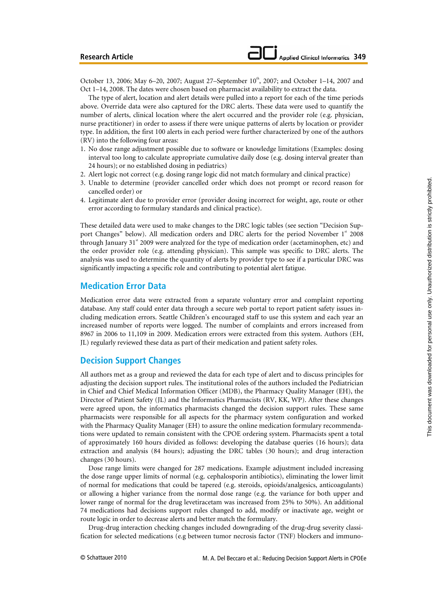October 13, 2006; May 6–20, 2007; August 27–September  $10^{th}$ , 2007; and October 1–14, 2007 and Oct 1–14, 2008. The dates were chosen based on pharmacist availability to extract the data.

The type of alert, location and alert details were pulled into a report for each of the time periods above. Override data were also captured for the DRC alerts. These data were used to quantify the number of alerts, clinical location where the alert occurred and the provider role (e.g. physician, nurse practitioner) in order to assess if there were unique patterns of alerts by location or provider type. In addition, the first 100 alerts in each period were further characterized by one of the authors (RV) into the following four areas:

- 1. No dose range adjustment possible due to software or knowledge limitations (Examples: dosing interval too long to calculate appropriate cumulative daily dose (e.g. dosing interval greater than 24 hours); or no established dosing in pediatrics)
- 2. Alert logic not correct (e.g. dosing range logic did not match formulary and clinical practice)
- 3. Unable to determine (provider cancelled order which does not prompt or record reason for cancelled order) or
- 4. Legitimate alert due to provider error (provider dosing incorrect for weight, age, route or other error according to formulary standards and clinical practice).

These detailed data were used to make changes to the DRC logic tables (see section "Decision Support Changes" below). All medication orders and DRC alerts for the period November 1st 2008 through January  $31<sup>st</sup>$  2009 were analyzed for the type of medication order (acetaminophen, etc) and the order provider role (e.g. attending physician). This sample was specific to DRC alerts. The analysis was used to determine the quantity of alerts by provider type to see if a particular DRC was significantly impacting a specific role and contributing to potential alert fatigue.

#### **Medication Error Data**

Medication error data were extracted from a separate voluntary error and complaint reporting database. Any staff could enter data through a secure web portal to report patient safety issues including medication errors. Seattle Children's encouraged staff to use this system and each year an increased number of reports were logged. The number of complaints and errors increased from 8967 in 2006 to 11,109 in 2009. Medication errors were extracted from this system. Authors (EH, JL) regularly reviewed these data as part of their medication and patient safety roles.

#### **Decision Support Changes**

All authors met as a group and reviewed the data for each type of alert and to discuss principles for adjusting the decision support rules. The institutional roles of the authors included the Pediatrician in Chief and Chief Medical Information Officer (MDB), the Pharmacy Quality Manager (EH), the Director of Patient Safety (JL) and the Informatics Pharmacists (RV, KK, WP). After these changes were agreed upon, the informatics pharmacists changed the decision support rules. These same pharmacists were responsible for all aspects for the pharmacy system configuration and worked with the Pharmacy Quality Manager (EH) to assure the online medication formulary recommendations were updated to remain consistent with the CPOE ordering system. Pharmacists spent a total of approximately 160 hours divided as follows: developing the database queries (16 hours); data extraction and analysis (84 hours); adjusting the DRC tables (30 hours); and drug interaction changes (30 hours).

Dose range limits were changed for 287 medications. Example adjustment included increasing the dose range upper limits of normal (e.g. cephalosporin antibiotics), eliminating the lower limit of normal for medications that could be tapered (e.g. steroids, opioids/analgesics, anticoagulants) or allowing a higher variance from the normal dose range (e.g. the variance for both upper and lower range of normal for the drug levetiracetam was increased from 25% to 50%). An additional 74 medications had decisions support rules changed to add, modify or inactivate age, weight or route logic in order to decrease alerts and better match the formulary.

Drug-drug interaction checking changes included downgrading of the drug-drug severity classification for selected medications (e.g between tumor necrosis factor (TNF) blockers and immuno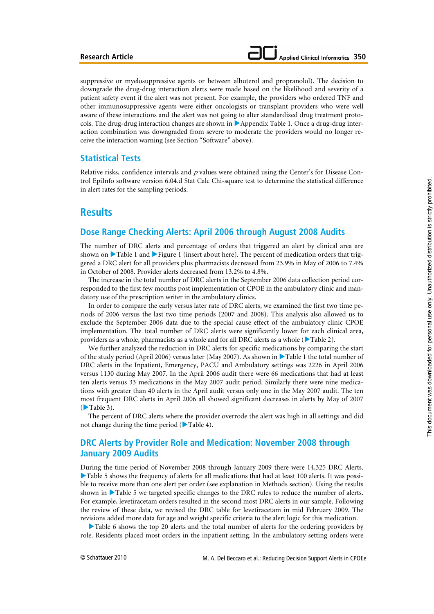suppressive or myelosuppressive agents or between albuterol and propranolol). The decision to downgrade the drug-drug interaction alerts were made based on the likelihood and severity of a patient safety event if the alert was not present. For example, the providers who ordered TNF and other immunosuppressive agents were either oncologists or transplant providers who were well aware of these interactions and the alert was not going to alter standardized drug treatment protocols. The drug-drug interaction changes are shown in  $\blacktriangleright$  Appendix Table 1. Once a drug-drug interaction combination was downgraded from severe to moderate the providers would no longer receive the interaction warning (see Section "Software" above).

## **Statistical Tests**

Relative risks, confidence intervals and  $p$  values were obtained using the Center's for Disease Control EpiInfo software version 6.04.d Stat Calc Chi-square test to determine the statistical difference in alert rates for the sampling periods.

# **Results**

## **Dose Range Checking Alerts: April 2006 through August 2008 Audits**

The number of DRC alerts and percentage of orders that triggered an alert by clinical area are shown on  $\blacktriangleright$  Table 1 and  $\blacktriangleright$  Figure 1 (insert about here). The percent of medication orders that triggered a DRC alert for all providers plus pharmacists decreased from 23.9% in May of 2006 to 7.4% in October of 2008. Provider alerts decreased from 13.2% to 4.8%.

The increase in the total number of DRC alerts in the September 2006 data collection period corresponded to the first few months post implementation of CPOE in the ambulatory clinic and mandatory use of the prescription writer in the ambulatory clinics.

In order to compare the early versus later rate of DRC alerts, we examined the first two time periods of 2006 versus the last two time periods (2007 and 2008). This analysis also allowed us to exclude the September 2006 data due to the special cause effect of the ambulatory clinic CPOE implementation. The total number of DRC alerts were significantly lower for each clinical area, providers as a whole, pharmacists as a whole and for all DRC alerts as a whole ( $\blacktriangleright$  Table 2).

We further analyzed the reduction in DRC alerts for specific medications by comparing the start of the study period (April 2006) versus later (May 2007). As shown in Table 1 the total number of DRC alerts in the Inpatient, Emergency, PACU and Ambulatory settings was 2226 in April 2006 versus 1130 during May 2007. In the April 2006 audit there were 66 medications that had at least ten alerts versus 33 medications in the May 2007 audit period. Similarly there were nine medications with greater than 40 alerts in the April audit versus only one in the May 2007 audit. The ten most frequent DRC alerts in April 2006 all showed significant decreases in alerts by May of 2007  $(\blacktriangleright$  Table 3).

The percent of DRC alerts where the provider overrode the alert was high in all settings and did not change during the time period ( $\blacktriangleright$  Table 4).

## **DRC Alerts by Provider Role and Medication: November 2008 through January 2009 Audits**

During the time period of November 2008 through January 2009 there were 14,325 DRC Alerts. Table 5 shows the frequency of alerts for all medications that had at least 100 alerts. It was possible to receive more than one alert per order (see explanation in Methods section). Using the results shown in  $\blacktriangleright$  Table 5 we targeted specific changes to the DRC rules to reduce the number of alerts. For example, levetiracetam orders resulted in the second most DRC alerts in our sample. Following the review of these data, we revised the DRC table for levetiracetam in mid February 2009. The revisions added more data for age and weight specific criteria to the alert logic for this medication.

Table 6 shows the top 20 alerts and the total number of alerts for the ordering providers by role. Residents placed most orders in the inpatient setting. In the ambulatory setting orders were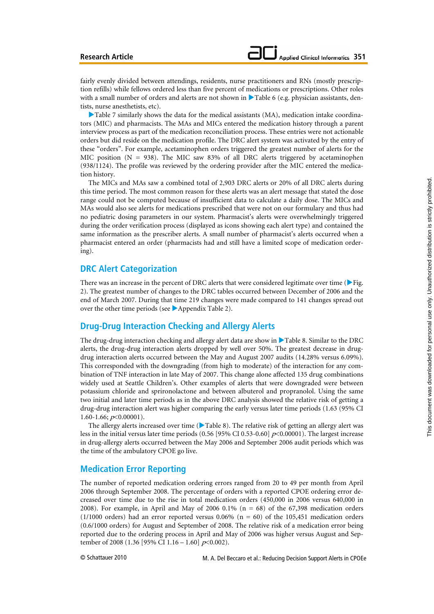fairly evenly divided between attendings, residents, nurse practitioners and RNs (mostly prescription refills) while fellows ordered less than five percent of medications or prescriptions. Other roles with a small number of orders and alerts are not shown in  $\blacktriangleright$  Table 6 (e.g. physician assistants, dentists, nurse anesthetists, etc).

 $\blacktriangleright$  Table 7 similarly shows the data for the medical assistants (MA), medication intake coordinators (MIC) and pharmacists. The MAs and MICs entered the medication history through a parent interview process as part of the medication reconciliation process. These entries were not actionable orders but did reside on the medication profile. The DRC alert system was activated by the entry of these "orders". For example, acetaminophen orders triggered the greatest number of alerts for the MIC position ( $N = 938$ ). The MIC saw 83% of all DRC alerts triggered by acetaminophen (938/1124). The profile was reviewed by the ordering provider after the MIC entered the medication history.

The MICs and MAs saw a combined total of 2,903 DRC alerts or 20% of all DRC alerts during this time period. The most common reason for these alerts was an alert message that stated the dose range could not be computed because of insufficient data to calculate a daily dose. The MICs and MAs would also see alerts for medications prescribed that were not on our formulary and thus had no pediatric dosing parameters in our system. Pharmacist's alerts were overwhelmingly triggered during the order verification process (displayed as icons showing each alert type) and contained the same information as the prescriber alerts. A small number of pharmacist's alerts occurred when a pharmacist entered an order (pharmacists had and still have a limited scope of medication ordering).

## **DRC Alert Categorization**

There was an increase in the percent of DRC alerts that were considered legitimate over time ( $\blacktriangleright$  Fig. 2). The greatest number of changes to the DRC tables occurred between December of 2006 and the end of March 2007. During that time 219 changes were made compared to 141 changes spread out over the other time periods (see  $\blacktriangleright$  Appendix Table 2).

## **Drug-Drug Interaction Checking and Allergy Alerts**

The drug-drug interaction checking and allergy alert data are show in  $\blacktriangleright$  Table 8. Similar to the DRC alerts, the drug-drug interaction alerts dropped by well over 50%. The greatest decrease in drugdrug interaction alerts occurred between the May and August 2007 audits (14.28% versus 6.09%). This corresponded with the downgrading (from high to moderate) of the interaction for any combination of TNF interaction in late May of 2007. This change alone affected 135 drug combinations widely used at Seattle Children's. Other examples of alerts that were downgraded were between potassium chloride and sprironolactone and between albuterol and propranolol. Using the same two initial and later time periods as in the above DRC analysis showed the relative risk of getting a drug-drug interaction alert was higher comparing the early versus later time periods (1.63 (95% CI 1.60-1.66; p<0.00001).

The allergy alerts increased over time  $(\blacktriangleright$  Table 8). The relative risk of getting an allergy alert was less in the initial versus later time periods (0.56 [95% CI 0.53-0.60]  $p<0.00001$ ). The largest increase in drug-allergy alerts occurred between the May 2006 and September 2006 audit periods which was the time of the ambulatory CPOE go live.

#### **Medication Error Reporting**

The number of reported medication ordering errors ranged from 20 to 49 per month from April 2006 through September 2008. The percentage of orders with a reported CPOE ordering error decreased over time due to the rise in total medication orders (450,000 in 2006 versus 640,000 in 2008). For example, in April and May of 2006 0.1% ( $n = 68$ ) of the 67,398 medication orders  $(1/1000 \text{ orders})$  had an error reported versus 0.06% (n = 60) of the 105,451 medication orders (0.6/1000 orders) for August and September of 2008. The relative risk of a medication error being reported due to the ordering process in April and May of 2006 was higher versus August and September of 2008 (1.36 [95% CI 1.16 – 1.60]  $p<0.002$ ).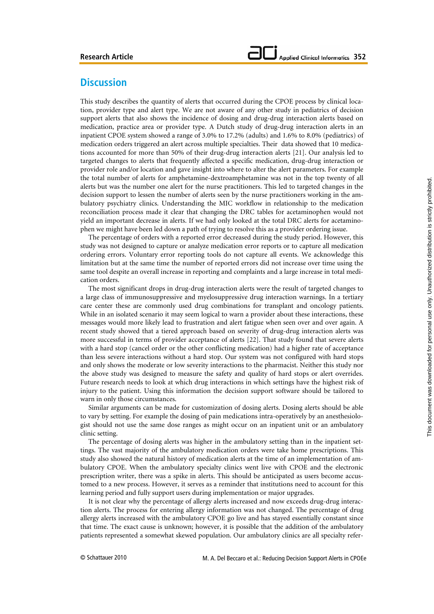## **Discussion**

This study describes the quantity of alerts that occurred during the CPOE process by clinical location, provider type and alert type. We are not aware of any other study in pediatrics of decision support alerts that also shows the incidence of dosing and drug-drug interaction alerts based on medication, practice area or provider type. A Dutch study of drug-drug interaction alerts in an inpatient CPOE system showed a range of 3.0% to 17.2% (adults) and 1.6% to 8.0% (pediatrics) of medication orders triggered an alert across multiple specialties. Their data showed that 10 medications accounted for more than 50% of their drug-drug interaction alerts [21]. Our analysis led to targeted changes to alerts that frequently affected a specific medication, drug-drug interaction or provider role and/or location and gave insight into where to alter the alert parameters. For example the total number of alerts for amphetamine-dextroamphetamine was not in the top twenty of all alerts but was the number one alert for the nurse practitioners. This led to targeted changes in the decision support to lessen the number of alerts seen by the nurse practitioners working in the ambulatory psychiatry clinics. Understanding the MIC workflow in relationship to the medication reconciliation process made it clear that changing the DRC tables for acetaminophen would not yield an important decrease in alerts. If we had only looked at the total DRC alerts for acetaminophen we might have been led down a path of trying to resolve this as a provider ordering issue.

The percentage of orders with a reported error decreased during the study period. However, this study was not designed to capture or analyze medication error reports or to capture all medication ordering errors. Voluntary error reporting tools do not capture all events. We acknowledge this limitation but at the same time the number of reported errors did not increase over time using the same tool despite an overall increase in reporting and complaints and a large increase in total medication orders.

The most significant drops in drug-drug interaction alerts were the result of targeted changes to a large class of immunosuppressive and myelosuppressive drug interaction warnings. In a tertiary care center these are commonly used drug combinations for transplant and oncology patients. While in an isolated scenario it may seem logical to warn a provider about these interactions, these messages would more likely lead to frustration and alert fatigue when seen over and over again. A recent study showed that a tiered approach based on severity of drug-drug interaction alerts was more successful in terms of provider acceptance of alerts [22]. That study found that severe alerts with a hard stop (cancel order or the other conflicting medication) had a higher rate of acceptance than less severe interactions without a hard stop. Our system was not configured with hard stops and only shows the moderate or low severity interactions to the pharmacist. Neither this study nor the above study was designed to measure the safety and quality of hard stops or alert overrides. Future research needs to look at which drug interactions in which settings have the highest risk of injury to the patient. Using this information the decision support software should be tailored to warn in only those circumstances.

Similar arguments can be made for customization of dosing alerts. Dosing alerts should be able to vary by setting. For example the dosing of pain medications intra-operatively by an anesthesiologist should not use the same dose ranges as might occur on an inpatient unit or an ambulatory clinic setting.

The percentage of dosing alerts was higher in the ambulatory setting than in the inpatient settings. The vast majority of the ambulatory medication orders were take home prescriptions. This study also showed the natural history of medication alerts at the time of an implementation of ambulatory CPOE. When the ambulatory specialty clinics went live with CPOE and the electronic prescription writer, there was a spike in alerts. This should be anticipated as users become accustomed to a new process. However, it serves as a reminder that institutions need to account for this learning period and fully support users during implementation or major upgrades.

It is not clear why the percentage of allergy alerts increased and now exceeds drug-drug interaction alerts. The process for entering allergy information was not changed. The percentage of drug allergy alerts increased with the ambulatory CPOE go live and has stayed essentially constant since that time. The exact cause is unknown; however, it is possible that the addition of the ambulatory patients represented a somewhat skewed population. Our ambulatory clinics are all specialty refer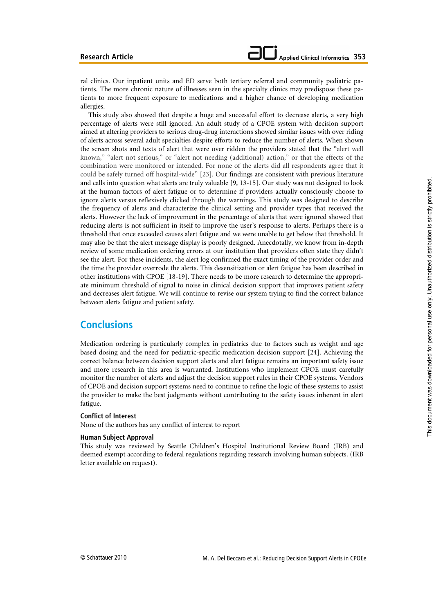ral clinics. Our inpatient units and ED serve both tertiary referral and community pediatric patients. The more chronic nature of illnesses seen in the specialty clinics may predispose these patients to more frequent exposure to medications and a higher chance of developing medication allergies.

This study also showed that despite a huge and successful effort to decrease alerts, a very high percentage of alerts were still ignored. An adult study of a CPOE system with decision support aimed at altering providers to serious drug-drug interactions showed similar issues with over riding of alerts across several adult specialties despite efforts to reduce the number of alerts. When shown the screen shots and texts of alert that were over ridden the providers stated that the "alert well known," "alert not serious," or "alert not needing (additional) action," or that the effects of the combination were monitored or intended. For none of the alerts did all respondents agree that it could be safely turned off hospital-wide" [23]. Our findings are consistent with previous literature and calls into question what alerts are truly valuable [9, 13-15]. Our study was not designed to look at the human factors of alert fatigue or to determine if providers actually consciously choose to ignore alerts versus reflexively clicked through the warnings. This study was designed to describe the frequency of alerts and characterize the clinical setting and provider types that received the alerts. However the lack of improvement in the percentage of alerts that were ignored showed that reducing alerts is not sufficient in itself to improve the user's response to alerts. Perhaps there is a threshold that once exceeded causes alert fatigue and we were unable to get below that threshold. It may also be that the alert message display is poorly designed. Anecdotally, we know from in-depth review of some medication ordering errors at our institution that providers often state they didn't see the alert. For these incidents, the alert log confirmed the exact timing of the provider order and the time the provider overrode the alerts. This desensitization or alert fatigue has been described in other institutions with CPOE [18-19]. There needs to be more research to determine the appropriate minimum threshold of signal to noise in clinical decision support that improves patient safety and decreases alert fatigue. We will continue to revise our system trying to find the correct balance between alerts fatigue and patient safety.

# **Conclusions**

Medication ordering is particularly complex in pediatrics due to factors such as weight and age based dosing and the need for pediatric-specific medication decision support [24]. Achieving the correct balance between decision support alerts and alert fatigue remains an important safety issue and more research in this area is warranted. Institutions who implement CPOE must carefully monitor the number of alerts and adjust the decision support rules in their CPOE systems. Vendors of CPOE and decision support systems need to continue to refine the logic of these systems to assist the provider to make the best judgments without contributing to the safety issues inherent in alert fatigue.

#### **Conflict of Interest**

None of the authors has any conflict of interest to report

#### **Human Subject Approval**

This study was reviewed by Seattle Children's Hospital Institutional Review Board (IRB) and deemed exempt according to federal regulations regarding research involving human subjects. (IRB letter available on request).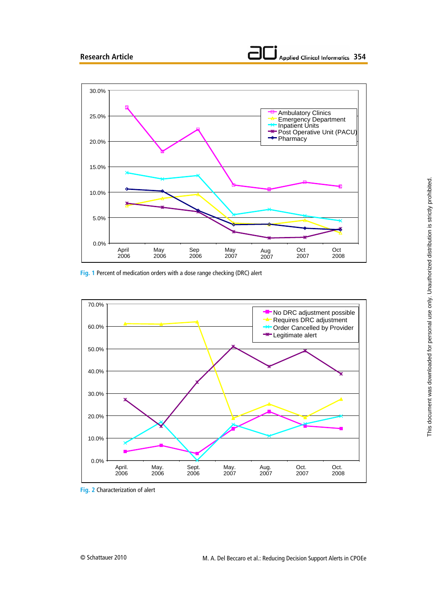



**Fig. 1** Percent of medication orders with a dose range checking (DRC) alert



**Fig. 2** Characterization of alert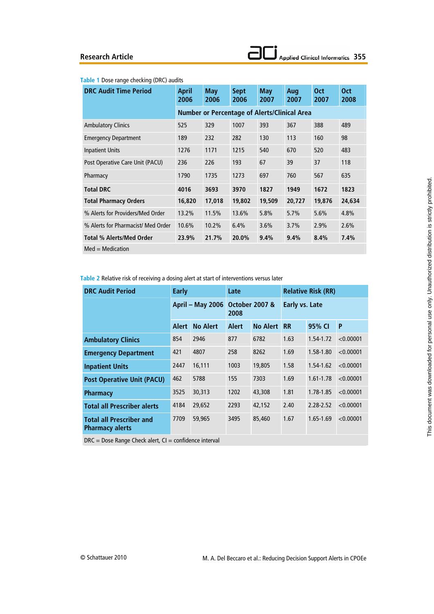#### **Table 1** Dose range checking (DRC) audits

| <b>DRC Audit Time Period</b>       | <b>April</b><br>2006 | May<br>2006                                         | <b>Sept</b><br>2006 | May<br>2007 | Aug<br>2007 | <b>Oct</b><br>2007 | Oct<br>2008 |  |  |  |
|------------------------------------|----------------------|-----------------------------------------------------|---------------------|-------------|-------------|--------------------|-------------|--|--|--|
|                                    |                      | <b>Number or Percentage of Alerts/Clinical Area</b> |                     |             |             |                    |             |  |  |  |
| <b>Ambulatory Clinics</b>          | 525                  | 329                                                 | 1007                | 393         | 367         | 388                | 489         |  |  |  |
| <b>Emergency Department</b>        | 189                  | 232                                                 | 282                 | 130         | 113         | 160                | 98          |  |  |  |
| Inpatient Units                    | 1276                 | 1171                                                | 1215                | 540         | 670         | 520                | 483         |  |  |  |
| Post Operative Care Unit (PACU)    | 236                  | 226                                                 | 193                 | 67          | 39          | 37                 | 118         |  |  |  |
| Pharmacy                           | 1790                 | 1735                                                | 1273                | 697         | 760         | 567                | 635         |  |  |  |
| <b>Total DRC</b>                   | 4016                 | 3693                                                | 3970                | 1827        | 1949        | 1672               | 1823        |  |  |  |
| <b>Total Pharmacy Orders</b>       | 16,820               | 17,018                                              | 19,802              | 19,509      | 20,727      | 19,876             | 24,634      |  |  |  |
| % Alerts for Providers/Med Order   | 13.2%                | 11.5%                                               | 13.6%               | 5.8%        | 5.7%        | 5.6%               | 4.8%        |  |  |  |
| % Alerts for Pharmacist/ Med Order | 10.6%                | $10.2\%$                                            | 6.4%                | 3.6%        | 3.7%        | 2.9%               | 2.6%        |  |  |  |
| <b>Total % Alerts/Med Order</b>    | 23.9%                | 21.7%                                               | 20.0%               | 9.4%        | 9.4%        | 8.4%               | 7.4%        |  |  |  |
| $Med = Medication$                 |                      |                                                     |                     |             |             |                    |             |  |  |  |

**Table 2** Relative risk of receiving a dosing alert at start of interventions versus later

| <b>DRC Audit Period</b>                                   | <b>Early</b><br><b>April - May 2006</b> |                 | Late<br><b>October 2007 &amp;</b><br>2008 |          | <b>Relative Risk (RR)</b><br>Early vs. Late |           |           |
|-----------------------------------------------------------|-----------------------------------------|-----------------|-------------------------------------------|----------|---------------------------------------------|-----------|-----------|
|                                                           |                                         |                 |                                           |          |                                             |           |           |
|                                                           | Alert                                   | <b>No Alert</b> | <b>Alert</b>                              | No Alert | <b>RR</b>                                   | 95% CI    | P         |
| <b>Ambulatory Clinics</b>                                 | 854                                     | 2946            | 877                                       | 6782     | 1.63                                        | 1.54-1.72 | < 0.00001 |
| <b>Emergency Department</b>                               | 421                                     | 4807            | 258                                       | 8262     | 1.69                                        | 1.58-1.80 | < 0.00001 |
| <b>Inpatient Units</b>                                    | 2447                                    | 16.111          | 1003                                      | 19,805   | 1.58                                        | 1.54-1.62 | < 0.00001 |
| <b>Post Operative Unit (PACU)</b>                         | 462                                     | 5788            | 155                                       | 7303     | 1.69                                        | 1.61-1.78 | < 0.00001 |
| Pharmacy                                                  | 3525                                    | 30,313          | 1202                                      | 43,308   | 1.81                                        | 1.78-1.85 | < 0.00001 |
| <b>Total all Prescriber alerts</b>                        | 4184                                    | 29,652          | 2293                                      | 42,152   | 2.40                                        | 2.28-2.52 | < 0.00001 |
| <b>Total all Prescriber and</b><br><b>Pharmacy alerts</b> | 7709                                    | 59,965          | 3495                                      | 85,460   | 1.67                                        | 1.65-1.69 | < 0.00001 |

DRC = Dose Range Check alert, CI = confidence interval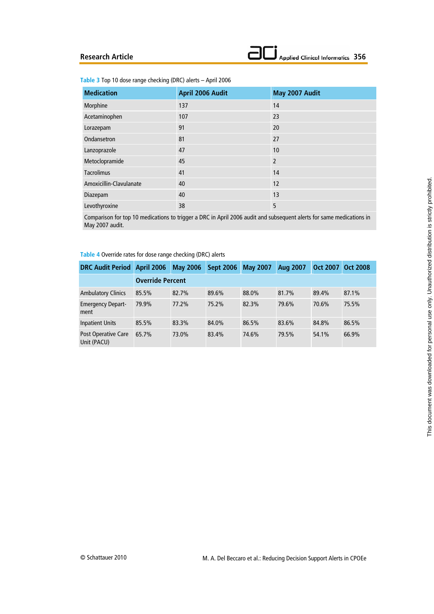|  | Table 3 Top 10 dose range checking (DRC) alerts - April 2006 |  |  |  |
|--|--------------------------------------------------------------|--|--|--|
|--|--------------------------------------------------------------|--|--|--|

| <b>Medication</b>       | April 2006 Audit | May 2007 Audit |
|-------------------------|------------------|----------------|
| Morphine                | 137              | 14             |
| Acetaminophen           | 107              | 23             |
| Lorazepam               | 91               | 20             |
| Ondansetron             | 81               | 27             |
| Lanzoprazole            | 47               | 10             |
| Metoclopramide          | 45               | 2              |
| <b>Tacrolimus</b>       | 41               | 14             |
| Amoxicillin-Clavulanate | 40               | 12             |
| Diazepam                | 40               | 13             |
| Levothyroxine           | 38               | 5              |

Comparison for top 10 medications to trigger a DRC in April 2006 audit and subsequent alerts for same medications in May 2007 audit.

| Table 4 Override rates for dose range checking (DRC) alerts |
|-------------------------------------------------------------|
|-------------------------------------------------------------|

| <b>DRC Audit Period</b>            | <b>April 2006</b>       | <b>May 2006</b> | <b>Sept 2006</b> | <b>May 2007</b> | <b>Aug 2007</b> | Oct 2007 | <b>Oct 2008</b> |  |
|------------------------------------|-------------------------|-----------------|------------------|-----------------|-----------------|----------|-----------------|--|
|                                    | <b>Override Percent</b> |                 |                  |                 |                 |          |                 |  |
| <b>Ambulatory Clinics</b>          | 85.5%                   | 82.7%           | 89.6%            | 88.0%           | 81.7%           | 89.4%    | 87.1%           |  |
| <b>Emergency Depart-</b><br>ment   | 79.9%                   | 77.2%           | 75.2%            | 82.3%           | 79.6%           | 70.6%    | 75.5%           |  |
| <b>Inpatient Units</b>             | 85.5%                   | 83.3%           | 84.0%            | 86.5%           | 83.6%           | 84.8%    | 86.5%           |  |
| Post Operative Care<br>Unit (PACU) | 65.7%                   | 73.0%           | 83.4%            | 74.6%           | 79.5%           | 54.1%    | 66.9%           |  |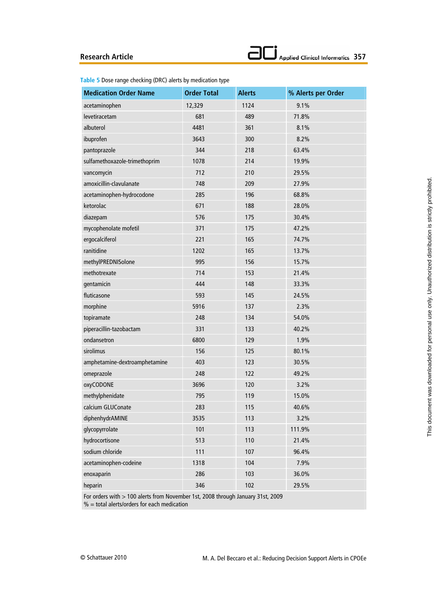**Table 5** Dose range checking (DRC) alerts by medication type

| <b>Medication Order Name</b>  | <b>Order Total</b> | <b>Alerts</b> | % Alerts per Order |
|-------------------------------|--------------------|---------------|--------------------|
| acetaminophen                 | 12,329             | 1124          | 9.1%               |
| levetiracetam                 | 681                | 489           | 71.8%              |
| albuterol                     | 4481               | 361           | 8.1%               |
| ibuprofen                     | 3643               | 300           | 8.2%               |
| pantoprazole                  | 344                | 218           | 63.4%              |
| sulfamethoxazole-trimethoprim | 1078               | 214           | 19.9%              |
| vancomycin                    | 712                | 210           | 29.5%              |
| amoxicillin-clavulanate       | 748                | 209           | 27.9%              |
| acetaminophen-hydrocodone     | 285                | 196           | 68.8%              |
| ketorolac                     | 671                | 188           | 28.0%              |
| diazepam                      | 576                | 175           | 30.4%              |
| mycophenolate mofetil         | 371                | 175           | 47.2%              |
| ergocalciferol                | 221                | 165           | 74.7%              |
| ranitidine                    | 1202               | 165           | 13.7%              |
| methylPREDNISolone            | 995                | 156           | 15.7%              |
| methotrexate                  | 714                | 153           | 21.4%              |
| gentamicin                    | 444                | 148           | 33.3%              |
| fluticasone                   | 593                | 145           | 24.5%              |
| morphine                      | 5916               | 137           | 2.3%               |
| topiramate                    | 248                | 134           | 54.0%              |
| piperacillin-tazobactam       | 331                | 133           | 40.2%              |
| ondansetron                   | 6800               | 129           | 1.9%               |
| sirolimus                     | 156                | 125           | 80.1%              |
| amphetamine-dextroamphetamine | 403                | 123           | 30.5%              |
| omeprazole                    | 248                | 122           | 49.2%              |
| oxyCODONE                     | 3696               | 120           | 3.2%               |
| methylphenidate               | 795                | 119           | 15.0%              |
| calcium GLUConate             | 283                | 115           | 40.6%              |
| diphenhydrAMINE               | 3535               | 113           | 3.2%               |
| glycopyrrolate                | 101                | 113           | 111.9%             |
| hydrocortisone                | 513                | 110           | 21.4%              |
| sodium chloride               | 111                | 107           | 96.4%              |
| acetaminophen-codeine         | 1318               | 104           | 7.9%               |
| enoxaparin                    | 286                | 103           | 36.0%              |
| heparin                       | 346                | 102           | 29.5%              |

For orders with > 100 alerts from November 1st, 2008 through January 31st, 2009

 $% =$  total alerts/orders for each medication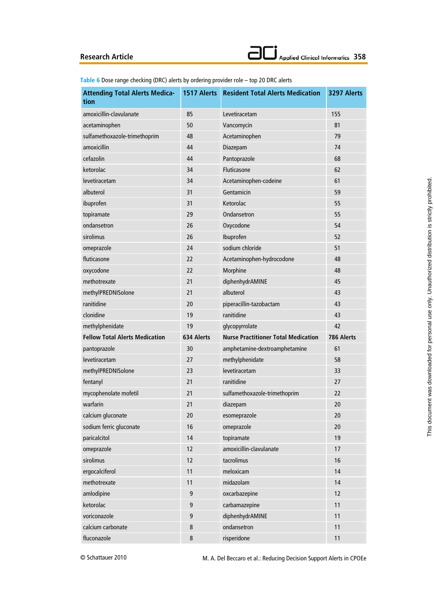r

**Table 6** Dose range checking (DRC) alerts by ordering provider role – top 20 DRC alerts

| <b>Attending Total Alerts Medica-</b><br>tion | 1517 Alerts | <b>Resident Total Alerts Medication</b>    | 3297 Alerts |
|-----------------------------------------------|-------------|--------------------------------------------|-------------|
| amoxicillin-clavulanate                       | 85          | I evetiracetam                             | 155         |
| acetaminophen                                 | 50          | Vancomycin                                 | 81          |
| sulfamethoxazole-trimethoprim                 | 48          | Acetaminophen                              | 79          |
| amoxicillin                                   | 44          | Diazepam                                   | 74          |
| cefazolin                                     | 44          | Pantoprazole                               | 68          |
| ketorolac                                     | 34          | Fluticasone                                | 62          |
| levetiracetam                                 | 34          | Acetaminophen-codeine                      | 61          |
| albuterol                                     | 31          | Gentamicin                                 | 59          |
| ibuprofen                                     | 31          | Ketorolac                                  | 55          |
| topiramate                                    | 29          | Ondansetron                                | 55          |
| ondansetron                                   | 26          | Oxycodone                                  | 54          |
| sirolimus                                     | 26          | Ibuprofen                                  | 52          |
| omeprazole                                    | 24          | sodium chloride                            | 51          |
| fluticasone                                   | 22          | Acetaminophen-hydrocodone                  | 48          |
| oxycodone                                     | 22          | Morphine                                   | 48          |
| methotrexate                                  | 21          | diphenhydrAMINE                            | 45          |
| methylPREDNISolone                            | 21          | albuterol                                  | 43          |
| ranitidine                                    | 20          | piperacillin-tazobactam                    | 43          |
| clonidine                                     | 19          | ranitidine                                 | 43          |
| methylphenidate                               | 19          | glycopyrrolate                             | 42          |
| <b>Fellow Total Alerts Medication</b>         | 634 Alerts  | <b>Nurse Practitioner Total Medication</b> | 786 Alerts  |
| pantoprazole                                  | 30          | amphetamine-dextroamphetamine              | 61          |
| levetiracetam                                 | 27          | methylphenidate                            | 58          |
| methylPREDNISolone                            | 23          | levetiracetam                              | 33          |
| fentanyl                                      | 21          | ranitidine                                 | 27          |
| mycophenolate mofetil                         | 21          | sulfamethoxazole-trimethoprim              | 22          |
| warfarin                                      | 21          | diazepam                                   | 20          |
| calcium gluconate                             | 20          | esomeprazole                               | 20          |
| sodium ferric gluconate                       | 16          | omeprazole                                 | 20          |
| paricalcitol                                  | 14          | topiramate                                 | 19          |
| omeprazole                                    | 12          | amoxicillin-clavulanate                    | 17          |
| sirolimus                                     | 12          | tacrolimus                                 | 16          |
| ergocalciferol                                | 11          | meloxicam                                  | 14          |
| methotrexate                                  | 11          | midazolam                                  | 14          |
| amlodipine                                    | 9           | oxcarbazepine                              | 12          |
| ketorolac                                     | 9           | carbamazepine                              | 11          |
| voriconazole                                  | 9           | diphenhydrAMINE                            | 11          |
| calcium carbonate                             | 8           | ondansetron                                | 11          |
| fluconazole                                   | 8           | risperidone                                | 11          |

© Schattauer 2010

M. A. Del Beccaro et al.: Reducing Decision Support Alerts in CPOEe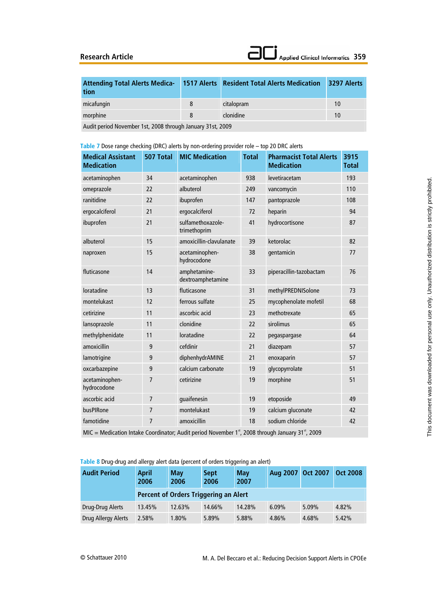|  | Applied Clinical Informatics 359 |  |
|--|----------------------------------|--|
|  |                                  |  |

| tion                                                               |  | Attending Total Alerts Medica- 1517 Alerts Resident Total Alerts Medication 3297 Alerts |    |  |  |  |  |
|--------------------------------------------------------------------|--|-----------------------------------------------------------------------------------------|----|--|--|--|--|
| micafungin                                                         |  | citalopram                                                                              | 10 |  |  |  |  |
| morphine                                                           |  | clonidine                                                                               | 10 |  |  |  |  |
| Audit results and Mauchen 1st, 2000 there will be comed 21st, 2000 |  |                                                                                         |    |  |  |  |  |

Audit period November 1st, 2008 through January 31st, 2009

#### **Table 7** Dose range checking (DRC) alerts by non-ordering provider role – top 20 DRC alerts

| 193<br>110 |
|------------|
|            |
|            |
| 108        |
| 94         |
| 87         |
| 82         |
| 77         |
| 76         |
| 73         |
| 68         |
| 65         |
| 65         |
| 64         |
| 57         |
| 57         |
| 51         |
| 51         |
| 49         |
| 42         |
| 42         |
|            |

MIC = Medication Intake Coordinator; Audit period November 1st, 2008 through January 31st, 2009

#### **Table 8** Drug-drug and allergy alert data (percent of orders triggering an alert)

| <b>Audit Period</b>        | <b>April</b><br>2006                  | May<br>2006 | <b>Sept</b><br>2006 | May<br>2007 | Aug 2007 Oct 2007 |          | <b>Oct 2008</b> |  |
|----------------------------|---------------------------------------|-------------|---------------------|-------------|-------------------|----------|-----------------|--|
|                            | Percent of Orders Triggering an Alert |             |                     |             |                   |          |                 |  |
| Drug-Drug Alerts           | 13.45%                                | 12.63%      | 14.66%              | 14.28%      | 6.09%             | $5.09\%$ | 4.82%           |  |
| <b>Drug Allergy Alerts</b> | 2.58%                                 | 1.80%       | 5.89%               | 5.88%       | 4.86%             | 4.68%    | 5.42%           |  |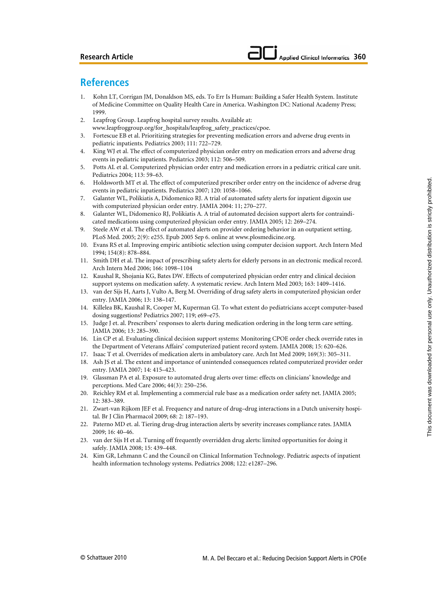# **References**

- 1. Kohn LT, Corrigan JM, Donaldson MS, eds. To Err Is Human: Building a Safer Health System. Institute of Medicine Committee on Quality Health Care in America. Washington DC: National Academy Press; 1999.
- 2. Leapfrog Group. Leapfrog hospital survey results. Available at: www.leapfroggroup.org/for\_hospitals/leapfrog\_safety\_practices/cpoe.
- 3. Fortescue EB et al. Prioritizing strategies for preventing medication errors and adverse drug events in pediatric inpatients. Pediatrics 2003; 111: 722–729.
- 4. King WJ et al. The effect of computerized physician order entry on medication errors and adverse drug events in pediatric inpatients. Pediatrics 2003; 112: 506–509.
- 5. Potts AL et al. Computerized physician order entry and medication errors in a pediatric critical care unit. Pediatrics 2004; 113: 59–63.
- 6. Holdsworth MT et al. The effect of computerized prescriber order entry on the incidence of adverse drug events in pediatric inpatients. Pediatrics 2007; 120: 1058–1066.
- 7. Galanter WL, Polikiatis A, Didomenico RJ. A trial of automated safety alerts for inpatient digoxin use with computerized physician order entry. JAMIA 2004: 11; 270–277.
- 8. Galanter WL, Didomenico RJ, Polikiatis A. A trial of automated decision support alerts for contraindicated medications using computerized physician order entry. JAMIA 2005; 12: 269–274.
- 9. Steele AW et al. The effect of automated alerts on provider ordering behavior in an outpatient setting. PLoS Med. 2005; 2(9): e255. Epub 2005 Sep 6. online at www.plosmedicine.org.
- 10. Evans RS et al. Improving empiric antibiotic selection using computer decision support. Arch Intern Med 1994; 154(8): 878–884.
- 11. Smith DH et al. The impact of prescribing safety alerts for elderly persons in an electronic medical record. Arch Intern Med 2006; 166: 1098–1104
- 12. Kaushal R, Shojania KG, Bates DW. Effects of computerized physician order entry and clinical decision support systems on medication safety. A systematic review. Arch Intern Med 2003; 163: 1409–1416.
- 13. van der Sijs H, Aarts J, Vulto A, Berg M. Overriding of drug safety alerts in computerized physician order entry. JAMIA 2006; 13: 138–147.
- 14. Killelea BK, Kaushal R, Cooper M, Kuperman GJ. To what extent do pediatricians accept computer-based dosing suggestions? Pediatrics 2007; 119; e69–e75.
- 15. Judge J et. al. Prescribers' responses to alerts during medication ordering in the long term care setting. JAMIA 2006; 13: 285–390.
- 16. Lin CP et al. Evaluating clinical decision support systems: Monitoring CPOE order check override rates in the Department of Veterans Affairs' computerized patient record system. JAMIA 2008; 15: 620–626.
- 17. Isaac T et al. Overrides of medication alerts in ambulatory care. Arch Int Med 2009; 169(3): 305–311.
- 18. Ash JS et al. The extent and importance of unintended consequences related computerized provider order entry. JAMIA 2007; 14: 415–423.
- 19. Glassman PA et al. Exposure to automated drug alerts over time: effects on clinicians' knowledge and perceptions. Med Care 2006; 44(3): 250–256.
- 20. Reichley RM et al. Implementing a commercial rule base as a medication order safety net. JAMIA 2005; 12: 383–389.
- 21. Zwart-van Rijkom JEF et al. Frequency and nature of drug–drug interactions in a Dutch university hospital. Br J Clin Pharmacol 2009; 68: 2: 187–193.
- 22. Paterno MD et. al. Tiering drug-drug interaction alerts by severity increases compliance rates. JAMIA 2009; 16: 40–46.
- 23. van der Sijs H et al. Turning off frequently overridden drug alerts: limited opportunities for doing it safely. JAMIA 2008; 15: 439–448.
- 24. Kim GR, Lehmann C and the Council on Clinical Information Technology. Pediatric aspects of inpatient health information technology systems. Pediatrics 2008; 122: e1287–296.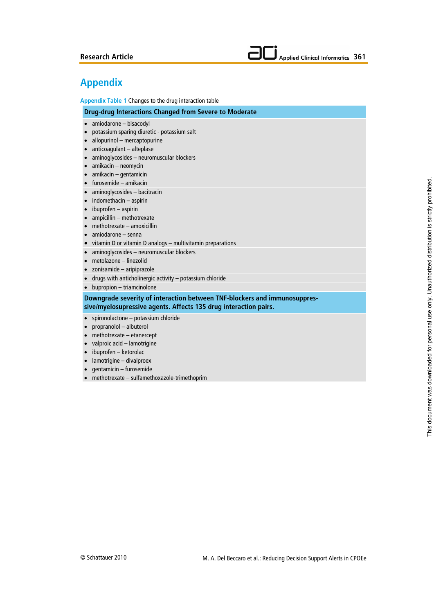# **Appendix**

**Appendix Table 1** Changes to the drug interaction table

#### **Drug-drug Interactions Changed from Severe to Moderate**

- amiodarone bisacodyl
- potassium sparing diuretic potassium salt
- allopurinol mercaptopurine
- anticoagulant alteplase
- aminoglycosides neuromuscular blockers
- amikacin neomycin
- amikacin gentamicin
- furosemide amikacin
- aminoglycosides bacitracin
- indomethacin aspirin
- ibuprofen aspirin
- ampicillin methotrexate
- methotrexate amoxicillin
- amiodarone senna
- vitamin D or vitamin D analogs multivitamin preparations
- aminoglycosides neuromuscular blockers
- metolazone linezolid
- zonisamide aripiprazole
- drugs with anticholinergic activity potassium chloride
- bupropion triamcinolone

#### **Downgrade severity of interaction between TNF-blockers and immunosuppressive/myelosupressive agents. Affects 135 drug interaction pairs.**

- spironolactone potassium chloride
- propranolol albuterol
- methotrexate etanercept
- valproic acid lamotrigine
- ibuprofen ketorolac
- lamotrigine divalproex
- gentamicin furosemide
- methotrexate sulfamethoxazole-trimethoprim